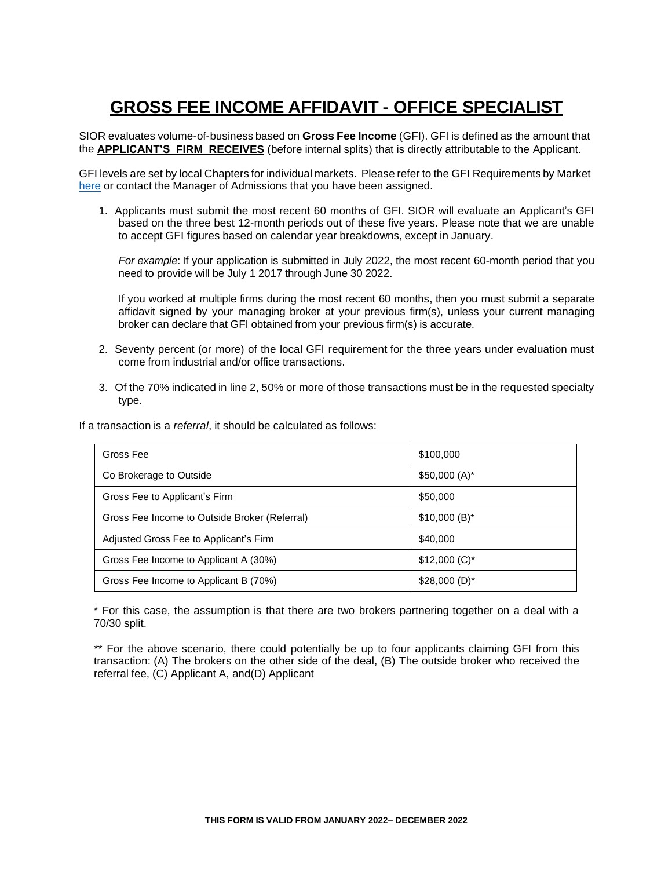# **GROSS FEE INCOME AFFIDAVIT - OFFICE SPECIALIST**

SIOR evaluates volume-of-business based on **Gross Fee Income** (GFI). GFI is defined as the amount that the **APPLICANT'S FIRM RECEIVES** (before internal splits) that is directly attributable to the Applicant.

GFI levels are set by local Chapters for individual markets. Please refer to the GFI Requirements by Market [here](http://www.sior.com/docs/default-source/membership-docs/sior-gfi-requirements.pdf) or contact the Manager of Admissions that you have been assigned.

1. Applicants must submit the most recent 60 months of GFI. SIOR will evaluate an Applicant's GFI based on the three best 12-month periods out of these five years. Please note that we are unable to accept GFI figures based on calendar year breakdowns, except in January.

*For example*: If your application is submitted in July 2022, the most recent 60-month period that you need to provide will be July 1 2017 through June 30 2022.

If you worked at multiple firms during the most recent 60 months, then you must submit a separate affidavit signed by your managing broker at your previous firm(s), unless your current managing broker can declare that GFI obtained from your previous firm(s) is accurate.

- 2. Seventy percent (or more) of the local GFI requirement for the three years under evaluation must come from industrial and/or office transactions.
- 3. Of the 70% indicated in line 2, 50% or more of those transactions must be in the requested specialty type.

If a transaction is a *referral*, it should be calculated as follows:

| Gross Fee                                     | \$100,000       |
|-----------------------------------------------|-----------------|
| Co Brokerage to Outside                       | $$50,000(A)^*$  |
| Gross Fee to Applicant's Firm                 | \$50,000        |
| Gross Fee Income to Outside Broker (Referral) | $$10,000(B)^*$  |
| Adjusted Gross Fee to Applicant's Firm        | \$40,000        |
| Gross Fee Income to Applicant A (30%)         | $$12,000 (C)^*$ |
| Gross Fee Income to Applicant B (70%)         | $$28,000(D)^*$  |

\* For this case, the assumption is that there are two brokers partnering together on a deal with a 70/30 split.

\*\* For the above scenario, there could potentially be up to four applicants claiming GFI from this transaction: (A) The brokers on the other side of the deal, (B) The outside broker who received the referral fee, (C) Applicant A, and(D) Applicant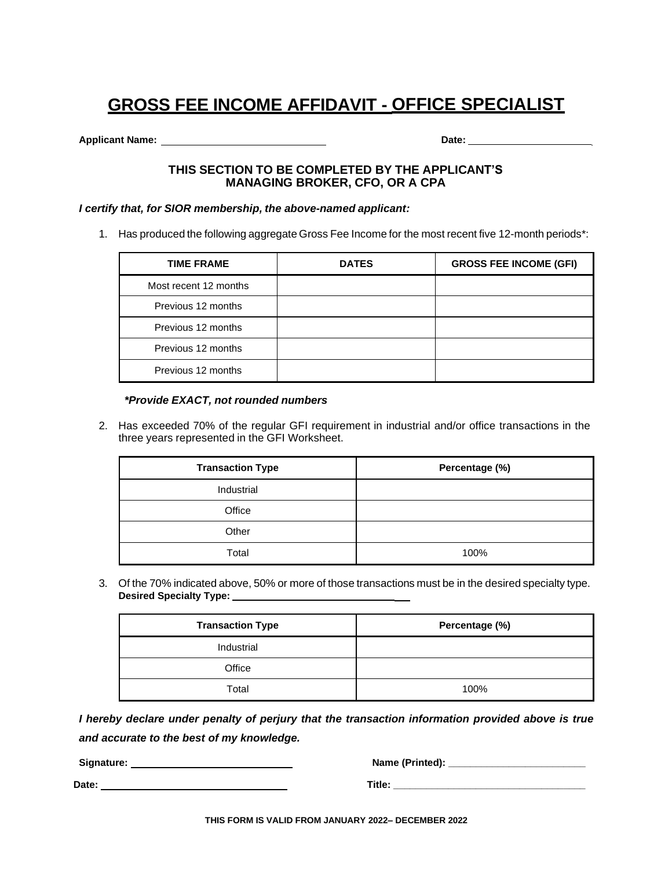# **GROSS FEE INCOME AFFIDAVIT - OFFICE SPECIALIST**

**Applicant Name:** 2008. 2009. 2012. 2013. 2014. 2014. 2014. 2014. 2014. 2014. 2014. 2014. 2014. 2014. 2015. 2016. 2016. 2016. 2016. 2016. 2016. 2016. 2016. 2016. 2016. 2016. 2016. 2016. 2016. 2016. 2016. 2016. 2016. 2016.

#### **THIS SECTION TO BE COMPLETED BY THE APPLICANT'S MANAGING BROKER, CFO, OR A CPA**

#### *I certify that, for SIOR membership, the above-named applicant:*

1. Has produced the following aggregate Gross Fee Income for the most recent five 12-month periods\*:

| <b>TIME FRAME</b>     | <b>DATES</b> | <b>GROSS FEE INCOME (GFI)</b> |
|-----------------------|--------------|-------------------------------|
| Most recent 12 months |              |                               |
| Previous 12 months    |              |                               |
| Previous 12 months    |              |                               |
| Previous 12 months    |              |                               |
| Previous 12 months    |              |                               |

#### *\*Provide EXACT, not rounded numbers*

2. Has exceeded 70% of the regular GFI requirement in industrial and/or office transactions in the three years represented in the GFI Worksheet.

| <b>Transaction Type</b> | Percentage (%) |
|-------------------------|----------------|
| Industrial              |                |
| Office                  |                |
| Other                   |                |
| Total                   | 100%           |

3. Of the 70% indicated above, 50% or more of those transactions must be in the desired specialty type. **Desired Specialty Type:** 

| <b>Transaction Type</b> | Percentage (%) |
|-------------------------|----------------|
| Industrial              |                |
| Office                  |                |
| Total                   | 100%           |

*I hereby declare under penalty of perjury that the transaction information provided above is true and accurate to the best of my knowledge.*

**Signature: Name (Printed): \_\_\_\_\_\_\_\_\_\_\_\_\_\_\_\_\_\_\_\_\_\_\_\_\_**

**Date: Title: \_\_\_\_\_\_\_\_\_\_\_\_\_\_\_\_\_\_\_\_\_\_\_\_\_\_\_\_\_\_\_\_\_\_\_**